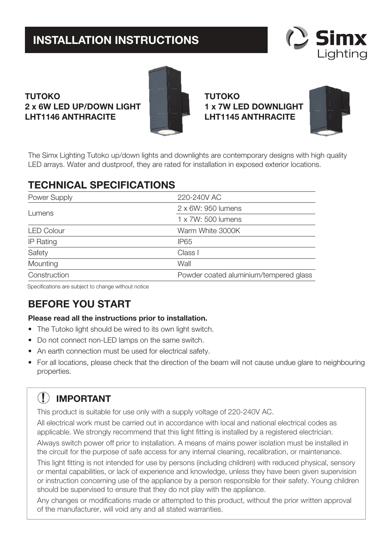# **INSTALLATION INSTRUCTIONS**



### **TUTOKO 2 x 6W LED UP/DOWN LIGHT LHT1146 ANTHRACITE**



**TUTOKO 1 x 7W LED DOWNLIGHT LHT1145 ANTHRACITE**



The Simx Lighting Tutoko up/down lights and downlights are contemporary designs with high quality LED arrays. Water and dustproof, they are rated for installation in exposed exterior locations.

### **TECHNICAL SPECIFICATIONS**

| Power Supply      | 220-240V AC                            |
|-------------------|----------------------------------------|
| Lumens            | 2 x 6W: 950 lumens                     |
|                   | $1 \times 7W$ : 500 lumens             |
| <b>LED Colour</b> | Warm White 3000K                       |
| <b>IP Rating</b>  | IP <sub>65</sub>                       |
| Safety            | Class I                                |
| Mounting          | Wall                                   |
| Construction      | Powder coated aluminium/tempered glass |

Specifications are subject to change without notice

## **BEFORE YOU START**

#### **Please read all the instructions prior to installation.**

- The Tutoko light should be wired to its own light switch.
- Do not connect non-LED lamps on the same switch.
- An earth connection must be used for electrical safety.
- For all locations, please check that the direction of the beam will not cause undue glare to neighbouring properties.

# **! IMPORTANT**

This product is suitable for use only with a supply voltage of 220-240V AC.

All electrical work must be carried out in accordance with local and national electrical codes as applicable. We strongly recommend that this light fitting is installed by a registered electrician.

Always switch power off prior to installation. A means of mains power isolation must be installed in the circuit for the purpose of safe access for any internal cleaning, recalibration, or maintenance.

This light fitting is not intended for use by persons (including children) with reduced physical, sensory or mental capabilities, or lack of experience and knowledge, unless they have been given supervision or instruction concerning use of the appliance by a person responsible for their safety. Young children should be supervised to ensure that they do not play with the appliance.

Any changes or modifications made or attempted to this product, without the prior written approval of the manufacturer, will void any and all stated warranties.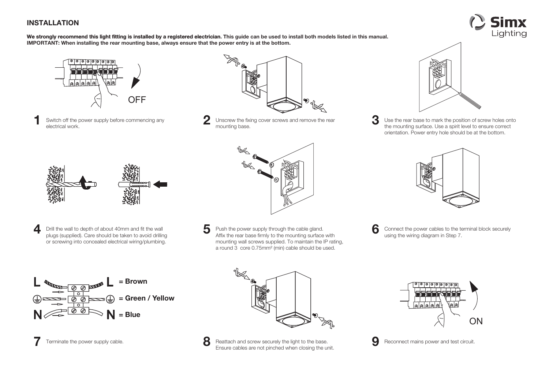### **INSTALLATION**



We strongly recommend this light fitting is installed by a registered electrician. This guide can be used to install both models listed in this manual. **IMPORTANT: When installing the rear mounting base, always ensure that the power entry is at the bottom.**



**1**Switch off the power supply before commencing any electrical work.





Unscrew the fixing cover screws and remove the rear **3** Use the rear base to mark the position of screw holes onto the mounting base. orientation. Power entry hole should be at the bottom.



- 
- **4** Drill the wall to depth of about 40mm and fit the wall plugs (supplied). Care should be taken to avoid drilling or screwing into concealed electrical wiring/plumbing.



**5** Push the power supply through the cable gland. Affix the rear base firmly to the mounting surface with mounting wall screws supplied. To maintain the IP rating, a round 3 core 0.75mm² (min) cable should be used.



**6**Connect the power cables to the terminal block securely using the wiring diagram in Step 7.



**7**



Terminate the power supply cable. **Ensure cables are not pinched when closing the unit. 9** Reconnect mains power and test circuit.